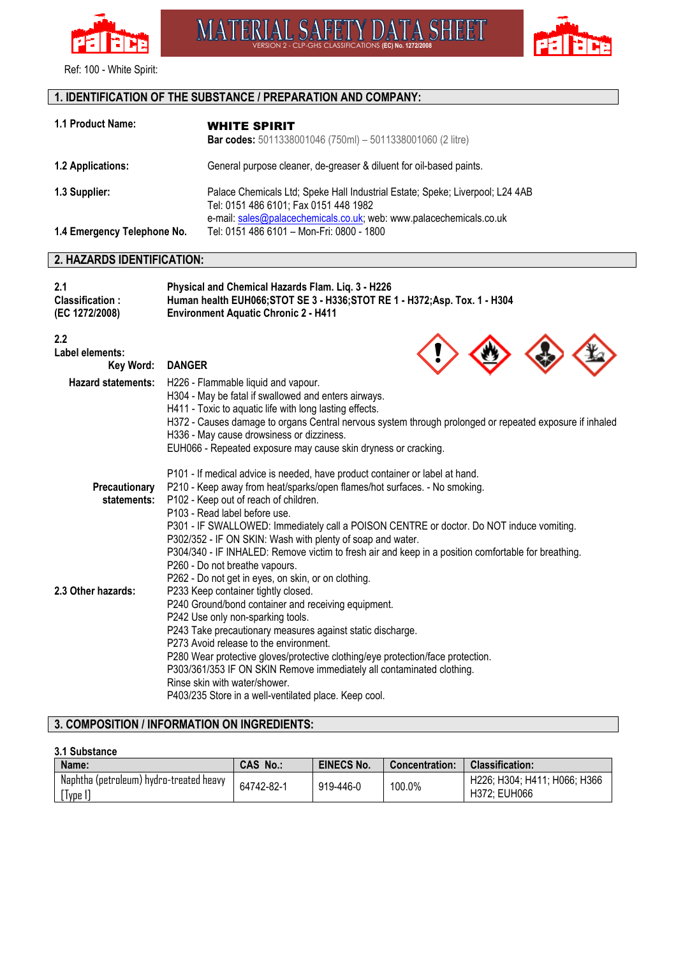

Ref: 100 - White Spirit:

# **1. IDENTIFICATION OF THE SUBSTANCE / PREPARATION AND COMPANY:**

| 1.1 Product Name:           | <b>WHITE SPIRIT</b><br><b>Bar codes:</b> 5011338001046 (750ml) - 5011338001060 (2 litre)                                                                                                      |
|-----------------------------|-----------------------------------------------------------------------------------------------------------------------------------------------------------------------------------------------|
| <b>1.2 Applications:</b>    | General purpose cleaner, de-greaser & diluent for oil-based paints.                                                                                                                           |
| 1.3 Supplier:               | Palace Chemicals Ltd; Speke Hall Industrial Estate; Speke; Liverpool; L24 4AB<br>Tel: 0151 486 6101; Fax 0151 448 1982<br>e-mail: sales@palacechemicals.co.uk; web: www.palacechemicals.co.uk |
| 1.4 Emergency Telephone No. | Tel: 0151 486 6101 – Mon-Fri: 0800 - 1800                                                                                                                                                     |

**MATERIAL SAFETY DATA SHEET** 

## **2. HAZARDS IDENTIFICATION:**

| 2.1<br>Classification:<br>(EC 1272/2008) | Physical and Chemical Hazards Flam. Liq. 3 - H226<br>Human health EUH066; STOT SE 3 - H336; STOT RE 1 - H372; Asp. Tox. 1 - H304<br><b>Environment Aquatic Chronic 2 - H411</b>                                                                                                                                                                                                                                                                                                                                                                                                               |
|------------------------------------------|-----------------------------------------------------------------------------------------------------------------------------------------------------------------------------------------------------------------------------------------------------------------------------------------------------------------------------------------------------------------------------------------------------------------------------------------------------------------------------------------------------------------------------------------------------------------------------------------------|
| 2.2<br>Label elements:<br>Key Word:      | <b>DANGER</b>                                                                                                                                                                                                                                                                                                                                                                                                                                                                                                                                                                                 |
| <b>Hazard statements:</b>                | H226 - Flammable liquid and vapour.<br>H304 - May be fatal if swallowed and enters airways.<br>H411 - Toxic to aquatic life with long lasting effects.<br>H372 - Causes damage to organs Central nervous system through prolonged or repeated exposure if inhaled<br>H336 - May cause drowsiness or dizziness.<br>EUH066 - Repeated exposure may cause skin dryness or cracking.                                                                                                                                                                                                              |
| Precautionary<br>statements:             | P101 - If medical advice is needed, have product container or label at hand.<br>P210 - Keep away from heat/sparks/open flames/hot surfaces. - No smoking.<br>P102 - Keep out of reach of children.<br>P103 - Read label before use.<br>P301 - IF SWALLOWED: Immediately call a POISON CENTRE or doctor. Do NOT induce vomiting.<br>P302/352 - IF ON SKIN: Wash with plenty of soap and water.<br>P304/340 - IF INHALED: Remove victim to fresh air and keep in a position comfortable for breathing.<br>P260 - Do not breathe vapours.<br>P262 - Do not get in eyes, on skin, or on clothing. |
| 2.3 Other hazards:                       | P233 Keep container tightly closed.<br>P240 Ground/bond container and receiving equipment.<br>P242 Use only non-sparking tools.<br>P243 Take precautionary measures against static discharge.<br>P273 Avoid release to the environment.<br>P280 Wear protective gloves/protective clothing/eye protection/face protection.<br>P303/361/353 IF ON SKIN Remove immediately all contaminated clothing.<br>Rinse skin with water/shower.<br>P403/235 Store in a well-ventilated place. Keep cool.                                                                                                 |

# **3. COMPOSITION / INFORMATION ON INGREDIENTS:**

#### **3.1 Substance**

| Name:                                               | <b>CAS No.:</b> | <b>EINECS No.</b> | <b>Concentration:</b> | <b>Classification:</b>                       |
|-----------------------------------------------------|-----------------|-------------------|-----------------------|----------------------------------------------|
| Naphtha (petroleum) hydro-treated heavy<br>[Type 1] | 64742-82-1      | 919-446-0         | 100.0%                | H226; H304; H411; H066; H366<br>H372; EUH066 |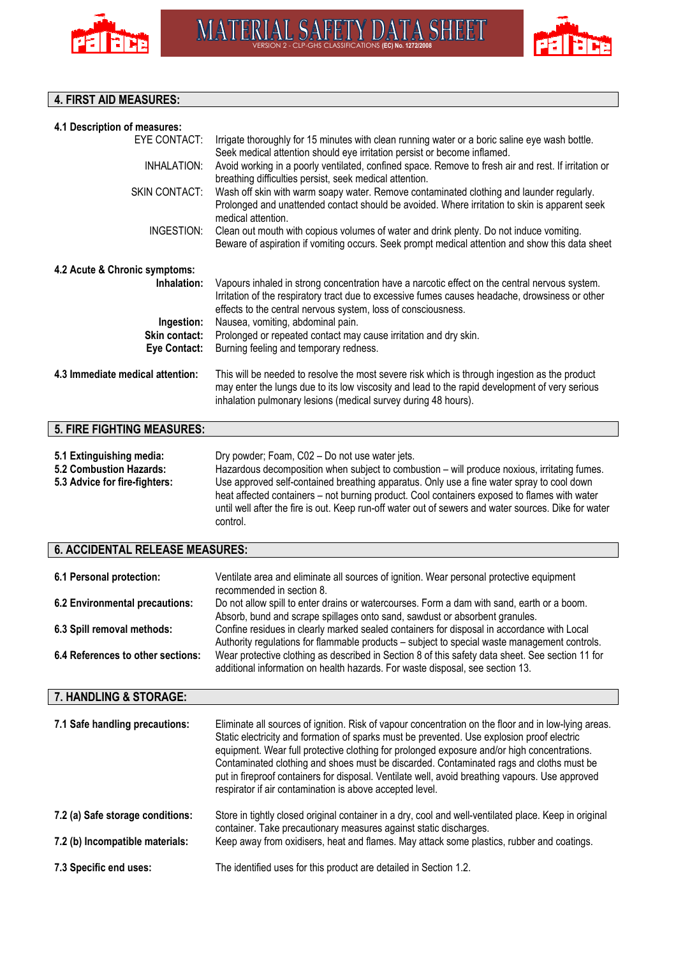



# **4. FIRST AID MEASURES:**

| 4.1 Description of measures:                                                                |                                                                                                                                                                                                                                                                                                                                                                                                                                                                 |
|---------------------------------------------------------------------------------------------|-----------------------------------------------------------------------------------------------------------------------------------------------------------------------------------------------------------------------------------------------------------------------------------------------------------------------------------------------------------------------------------------------------------------------------------------------------------------|
| <b>EYE CONTACT:</b>                                                                         | Irrigate thoroughly for 15 minutes with clean running water or a boric saline eye wash bottle.<br>Seek medical attention should eye irritation persist or become inflamed.                                                                                                                                                                                                                                                                                      |
| <b>INHALATION:</b>                                                                          | Avoid working in a poorly ventilated, confined space. Remove to fresh air and rest. If irritation or<br>breathing difficulties persist, seek medical attention.                                                                                                                                                                                                                                                                                                 |
| <b>SKIN CONTACT:</b>                                                                        | Wash off skin with warm soapy water. Remove contaminated clothing and launder regularly.<br>Prolonged and unattended contact should be avoided. Where irritation to skin is apparent seek<br>medical attention.                                                                                                                                                                                                                                                 |
| INGESTION:                                                                                  | Clean out mouth with copious volumes of water and drink plenty. Do not induce vomiting.<br>Beware of aspiration if vomiting occurs. Seek prompt medical attention and show this data sheet                                                                                                                                                                                                                                                                      |
| 4.2 Acute & Chronic symptoms:                                                               |                                                                                                                                                                                                                                                                                                                                                                                                                                                                 |
| Inhalation:                                                                                 | Vapours inhaled in strong concentration have a narcotic effect on the central nervous system.<br>Irritation of the respiratory tract due to excessive fumes causes headache, drowsiness or other<br>effects to the central nervous system, loss of consciousness.                                                                                                                                                                                               |
| Ingestion:                                                                                  | Nausea, vomiting, abdominal pain.                                                                                                                                                                                                                                                                                                                                                                                                                               |
| <b>Skin contact:</b><br><b>Eye Contact:</b>                                                 | Prolonged or repeated contact may cause irritation and dry skin.<br>Burning feeling and temporary redness.                                                                                                                                                                                                                                                                                                                                                      |
|                                                                                             |                                                                                                                                                                                                                                                                                                                                                                                                                                                                 |
| 4.3 Immediate medical attention:                                                            | This will be needed to resolve the most severe risk which is through ingestion as the product<br>may enter the lungs due to its low viscosity and lead to the rapid development of very serious<br>inhalation pulmonary lesions (medical survey during 48 hours).                                                                                                                                                                                               |
| 5. FIRE FIGHTING MEASURES:                                                                  |                                                                                                                                                                                                                                                                                                                                                                                                                                                                 |
| 5.1 Extinguishing media:<br><b>5.2 Combustion Hazards:</b><br>5.3 Advice for fire-fighters: | Dry powder; Foam, C02 - Do not use water jets.<br>Hazardous decomposition when subject to combustion - will produce noxious, irritating fumes.<br>Use approved self-contained breathing apparatus. Only use a fine water spray to cool down<br>heat affected containers - not burning product. Cool containers exposed to flames with water<br>until well after the fire is out. Keep run-off water out of sewers and water sources. Dike for water<br>control. |
| <b>6. ACCIDENTAL RELEASE MEASURES:</b>                                                      |                                                                                                                                                                                                                                                                                                                                                                                                                                                                 |
| 4 Desember 1995 (1996)                                                                      | $M = 4.1 + 1 =$<br>وبالمستحدث ويتناوله والمستقر المستود ومستور والمناقلة والمستنقر والمستنقر والمستنقر والمستلفظ والمساورة                                                                                                                                                                                                                                                                                                                                      |

| 6.1 Personal protection:          | Ventilate area and eliminate all sources of ignition. Wear personal protective equipment                                                                                          |
|-----------------------------------|-----------------------------------------------------------------------------------------------------------------------------------------------------------------------------------|
|                                   | recommended in section 8.                                                                                                                                                         |
| 6.2 Environmental precautions:    | Do not allow spill to enter drains or watercourses. Form a dam with sand, earth or a boom.                                                                                        |
|                                   | Absorb, bund and scrape spillages onto sand, sawdust or absorbent granules.                                                                                                       |
| 6.3 Spill removal methods:        | Confine residues in clearly marked sealed containers for disposal in accordance with Local                                                                                        |
|                                   | Authority regulations for flammable products - subject to special waste management controls.                                                                                      |
| 6.4 References to other sections: | Wear protective clothing as described in Section 8 of this safety data sheet. See section 11 for<br>additional information on health hazards. For waste disposal, see section 13. |
|                                   |                                                                                                                                                                                   |

# **7. HANDLING & STORAGE:**

| 7.1 Safe handling precautions:   | Eliminate all sources of ignition. Risk of vapour concentration on the floor and in low-lying areas.<br>Static electricity and formation of sparks must be prevented. Use explosion proof electric<br>equipment. Wear full protective clothing for prolonged exposure and/or high concentrations.<br>Contaminated clothing and shoes must be discarded. Contaminated rags and cloths must be<br>put in fireproof containers for disposal. Ventilate well, avoid breathing vapours. Use approved<br>respirator if air contamination is above accepted level. |
|----------------------------------|-------------------------------------------------------------------------------------------------------------------------------------------------------------------------------------------------------------------------------------------------------------------------------------------------------------------------------------------------------------------------------------------------------------------------------------------------------------------------------------------------------------------------------------------------------------|
| 7.2 (a) Safe storage conditions: | Store in tightly closed original container in a dry, cool and well-ventilated place. Keep in original<br>container. Take precautionary measures against static discharges.                                                                                                                                                                                                                                                                                                                                                                                  |
| 7.2 (b) Incompatible materials:  | Keep away from oxidisers, heat and flames. May attack some plastics, rubber and coatings.                                                                                                                                                                                                                                                                                                                                                                                                                                                                   |
| 7.3 Specific end uses:           | The identified uses for this product are detailed in Section 1.2.                                                                                                                                                                                                                                                                                                                                                                                                                                                                                           |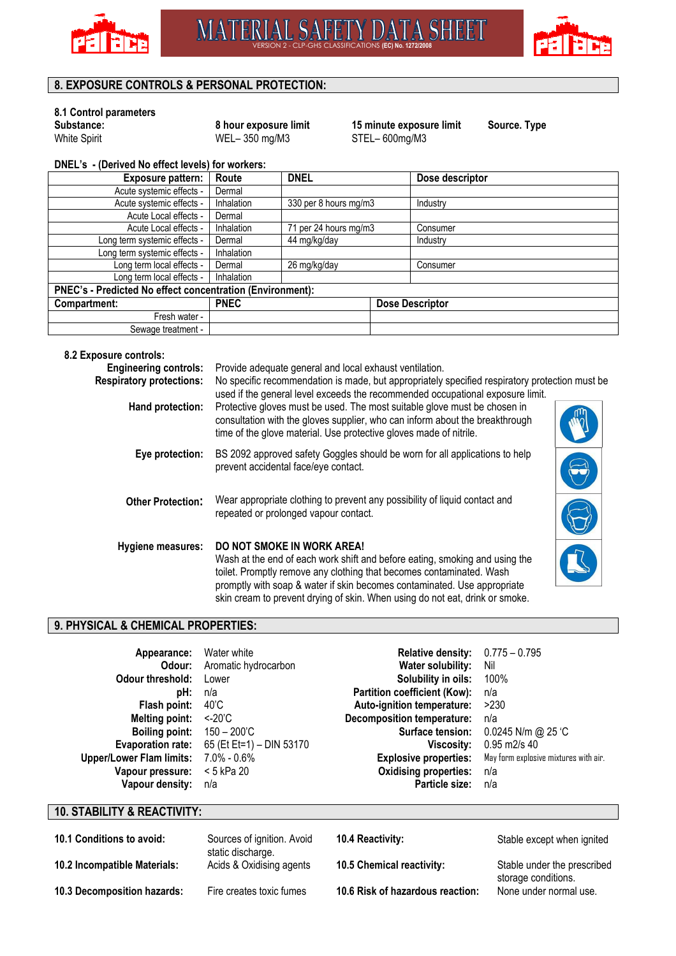



# **8. EXPOSURE CONTROLS & PERSONAL PROTECTION:**

# **8.1 Control parameters**

 $WEL- 350$  mg/M3

**Substance: 8 hour exposure limit** 15 minute exposure limit Source. Type White Spirit **15 minute exposure limit** Source. Type **WEL** = 350 mg/M3 STEL = 600mg/M3

**DNEL's - (Derived No effect levels) for workers:** 

| <b>Exposure pattern:</b>                                  | Route       | <b>DNEL</b>           |  | Dose descriptor        |
|-----------------------------------------------------------|-------------|-----------------------|--|------------------------|
| Acute systemic effects -                                  | Dermal      |                       |  |                        |
| Acute systemic effects -                                  | Inhalation  | 330 per 8 hours mg/m3 |  | Industry               |
| Acute Local effects -                                     | Dermal      |                       |  |                        |
| Acute Local effects -                                     | Inhalation  | 71 per 24 hours mg/m3 |  | Consumer               |
| Long term systemic effects -                              | Dermal      | 44 mg/kg/day          |  | Industry               |
| Long term systemic effects -                              | Inhalation  |                       |  |                        |
| Long term local effects -                                 | Dermal      | 26 mg/kg/day          |  | Consumer               |
| Long term local effects -                                 | Inhalation  |                       |  |                        |
| PNEC's - Predicted No effect concentration (Environment): |             |                       |  |                        |
| Compartment:                                              | <b>PNEC</b> |                       |  | <b>Dose Descriptor</b> |
| Fresh water -                                             |             |                       |  |                        |
| Sewage treatment -                                        |             |                       |  |                        |

#### **8.2 Exposure controls:**

| <b>Engineering controls:</b><br><b>Respiratory protections:</b> | Provide adequate general and local exhaust ventilation.<br>No specific recommendation is made, but appropriately specified respiratory protection must be<br>used if the general level exceeds the recommended occupational exposure limit.                                                                                                          |  |
|-----------------------------------------------------------------|------------------------------------------------------------------------------------------------------------------------------------------------------------------------------------------------------------------------------------------------------------------------------------------------------------------------------------------------------|--|
| Hand protection:                                                | Protective gloves must be used. The most suitable glove must be chosen in<br>consultation with the gloves supplier, who can inform about the breakthrough<br>time of the glove material. Use protective gloves made of nitrile.                                                                                                                      |  |
| Eye protection:                                                 | BS 2092 approved safety Goggles should be worn for all applications to help<br>prevent accidental face/eye contact.                                                                                                                                                                                                                                  |  |
| <b>Other Protection:</b>                                        | Wear appropriate clothing to prevent any possibility of liquid contact and<br>repeated or prolonged vapour contact.                                                                                                                                                                                                                                  |  |
| Hygiene measures:                                               | <b>DO NOT SMOKE IN WORK AREA!</b><br>Wash at the end of each work shift and before eating, smoking and using the<br>toilet. Promptly remove any clothing that becomes contaminated. Wash<br>promptly with soap & water if skin becomes contaminated. Use appropriate<br>skin cream to prevent drying of skin. When using do not eat, drink or smoke. |  |

## **9. PHYSICAL & CHEMICAL PROPERTIES:**

| Appearance:                     | Water white                | <b>Relative density:</b>            | $0.775 - 0.795$                       |
|---------------------------------|----------------------------|-------------------------------------|---------------------------------------|
| Odour:                          | Aromatic hydrocarbon       | Water solubility:                   | Nil                                   |
| Odour threshold:                | Lower                      | Solubility in oils:                 | 100%                                  |
| pH:                             | n/a                        | <b>Partition coefficient (Kow):</b> | n/a                                   |
| Flash point:                    | 40'C                       | Auto-ignition temperature:          | >230                                  |
| <b>Melting point:</b>           | <-20°C                     | <b>Decomposition temperature:</b>   | n/a                                   |
| <b>Boiling point:</b>           | $150 - 200$ <sup>'</sup> C | Surface tension:                    | 0.0245 N/m @ 25 °C                    |
| <b>Evaporation rate:</b>        | 65 (Et Et=1) - DIN 53170   | Viscosity:                          | 0.95 m2/s 40                          |
| <b>Upper/Lower Flam limits:</b> | 7.0% - 0.6%                | <b>Explosive properties:</b>        | May form explosive mixtures with air. |
| Vapour pressure:                | $<$ 5 kPa 20               | <b>Oxidising properties:</b>        | n/a                                   |
| Vapour density:                 | n/a                        | Particle size:                      | n/a                                   |
|                                 |                            |                                     |                                       |

# **10. STABILITY & REACTIVITY:**

| 10.1 Conditions to avoid:    | Sources of ignition. Avoid<br>static discharge. | 10.4 Reactivity: |
|------------------------------|-------------------------------------------------|------------------|
| 10.2 Incompatible Materials: | Acids & Oxidising agents                        | 10.5 Chemical re |
| 10.3 Decomposition hazards:  | Fire creates toxic fumes                        | 10.6 Risk of haz |

Stable except when ignited

**10.2 Incompatible Materials:** Acids & Oxidision Stable under the prescribed storage conditions. **110.3 Peaction:** None under normal use.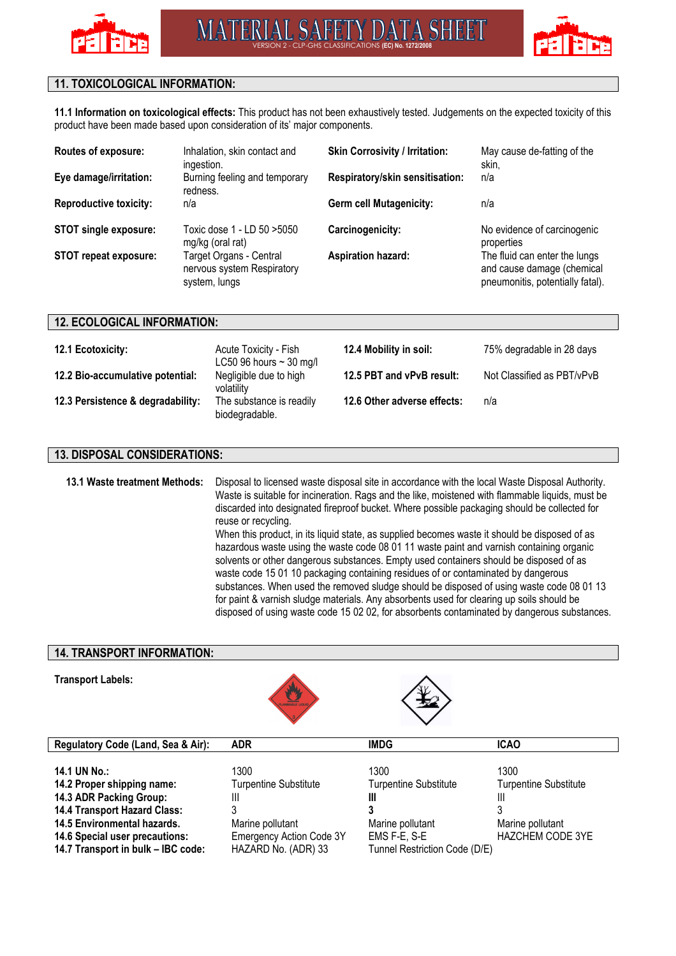



# **11. TOXICOLOGICAL INFORMATION:**

**11.1 Information on toxicological effects:** This product has not been exhaustively tested. Judgements on the expected toxicity of this product have been made based upon consideration of its' major components.

| Routes of exposure:           | Inhalation, skin contact and<br>ingestion.                             | <b>Skin Corrosivity / Irritation:</b> | May cause de-fatting of the<br>skin.                                                            |
|-------------------------------|------------------------------------------------------------------------|---------------------------------------|-------------------------------------------------------------------------------------------------|
| Eye damage/irritation:        | Burning feeling and temporary<br>redness.                              | Respiratory/skin sensitisation:       | n/a                                                                                             |
| <b>Reproductive toxicity:</b> | n/a                                                                    | <b>Germ cell Mutagenicity:</b>        | n/a                                                                                             |
| <b>STOT single exposure:</b>  | Toxic dose 1 - LD 50 >5050<br>mg/kg (oral rat)                         | Carcinogenicity:                      | No evidence of carcinogenic<br>properties                                                       |
| <b>STOT repeat exposure:</b>  | Target Organs - Central<br>nervous system Respiratory<br>system, lungs | <b>Aspiration hazard:</b>             | The fluid can enter the lungs<br>and cause damage (chemical<br>pneumonitis, potentially fatal). |

#### **12. ECOLOGICAL INFORMATION:**

| 12.1 Ecotoxicity:                 | Acute Toxicity - Fish<br>LC50 96 hours $\sim$ 30 mg/l | 12.4 Mobility in soil:      | 75% degradable in 28 days  |
|-----------------------------------|-------------------------------------------------------|-----------------------------|----------------------------|
| 12.2 Bio-accumulative potential:  | Negligible due to high<br>volatility                  | 12.5 PBT and vPvB result:   | Not Classified as PBT/vPvB |
| 12.3 Persistence & degradability: | The substance is readily<br>biodegradable.            | 12.6 Other adverse effects: | n/a                        |

#### **13. DISPOSAL CONSIDERATIONS:**

**13.1 Waste treatment Methods:** Disposal to licensed waste disposal site in accordance with the local Waste Disposal Authority. Waste is suitable for incineration. Rags and the like, moistened with flammable liquids, must be discarded into designated fireproof bucket. Where possible packaging should be collected for reuse or recycling.

When this product, in its liquid state, as supplied becomes waste it should be disposed of as hazardous waste using the waste code 08 01 11 waste paint and varnish containing organic solvents or other dangerous substances. Empty used containers should be disposed of as waste code 15 01 10 packaging containing residues of or contaminated by dangerous substances. When used the removed sludge should be disposed of using waste code 08 01 13 for paint & varnish sludge materials. Any absorbents used for clearing up soils should be disposed of using waste code 15 02 02, for absorbents contaminated by dangerous substances.

### **14. TRANSPORT INFORMATION:**

#### **Transport Labels:**



| Regulatory Code (Land, Sea & Air):    | <b>ADR</b>                      | <b>IMDG</b>                   | <b>ICAO</b>                  |
|---------------------------------------|---------------------------------|-------------------------------|------------------------------|
|                                       |                                 |                               |                              |
| 14.1 UN No.:                          | 1300                            | 1300                          | 1300                         |
| 14.2 Proper shipping name:            | <b>Turpentine Substitute</b>    | <b>Turpentine Substitute</b>  | <b>Turpentine Substitute</b> |
| 14.3 ADR Packing Group:               | Ш                               | Ш                             | Ш                            |
| 14.4 Transport Hazard Class:          |                                 |                               |                              |
| 14.5 Environmental hazards.           | Marine pollutant                | Marine pollutant              | Marine pollutant             |
| <b>14.6 Special user precautions:</b> | <b>Emergency Action Code 3Y</b> | EMS F-E, S-E                  | <b>HAZCHEM CODE 3YE</b>      |
| 14.7 Transport in bulk - IBC code:    | HAZARD No. (ADR) 33             | Tunnel Restriction Code (D/E) |                              |